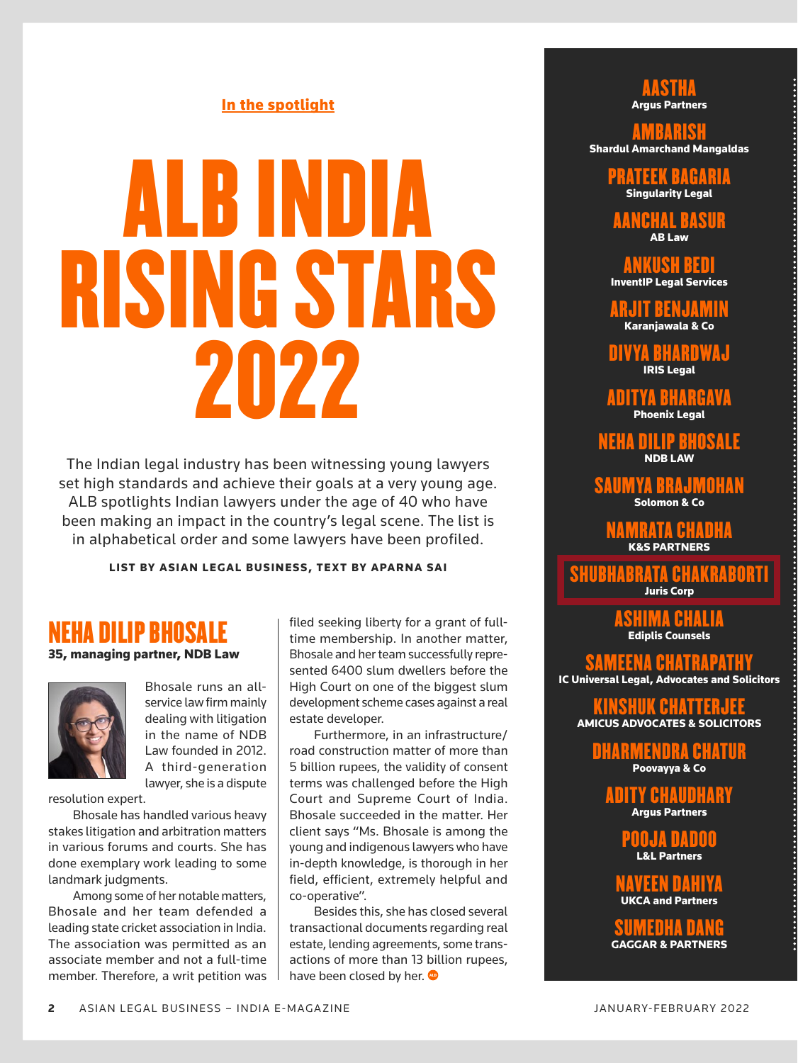# In the spotlight

# ALB INDIA RISING STARS 2022

The Indian legal industry has been witnessing young lawyers set high standards and achieve their goals at a very young age. ALB spotlights Indian lawyers under the age of 40 who have been making an impact in the country's legal scene. The list is in alphabetical order and some lawyers have been profiled.

LIST BY ASIAN LEGAL BUSINESS, TEXT BY APARNA SAI

# NEHA DILIP BHOSALE

35, managing partner, NDB Law



Bhosale runs an allservice law firm mainly dealing with litigation in the name of NDB Law founded in 2012. A third-generation lawyer, she is a dispute

resolution expert.

Bhosale has handled various heavy stakes litigation and arbitration matters in various forums and courts. She has done exemplary work leading to some landmark judgments.

Among some of her notable matters, Bhosale and her team defended a leading state cricket association in India. The association was permitted as an associate member and not a full-time member. Therefore, a writ petition was filed seeking liberty for a grant of fulltime membership. In another matter, Bhosale and her team successfully represented 6400 slum dwellers before the High Court on one of the biggest slum development scheme cases against a real estate developer.

Furthermore, in an infrastructure/ road construction matter of more than 5 billion rupees, the validity of consent terms was challenged before the High Court and Supreme Court of India. Bhosale succeeded in the matter. Her client says "Ms. Bhosale is among the young and indigenous lawyers who have in-depth knowledge, is thorough in her field, efficient, extremely helpful and co-operative".

Besides this, she has closed several transactional documents regarding real estate, lending agreements, some transactions of more than 13 billion rupees, have been closed by her.

### AASTHA **Argus Partners**

AMBARISH Shardul Amarchand Mangaldas

> PRATEEK BAGARIA Singularity Legal

AANCHAL RASII AB Law

ANKUSH BEDI InventIP Legal Services

ARJIT BENJAMIN Karanjawala & Co

DIVYA BHARDWAJ IRIS Legal

ADITYA BHARGA Phoenix Legal

NEHA DILIP BHOSALE NDB LAW

SAUMYA BRAJMOHAN Solomon & Co

> MRATA CHAN K&S PARTNERS

SHUBHABRATA CHAKRABORTI Juris Corp

ASHIMA CHALIA Ediplis Counsels

SAMEENA CHATRAPATHY IC Universal Legal, Advocates and Solicitors

KINSHUK CHATTERJEE AMICUS ADVOCATES & SOLICITORS

> MENDRA CHATI Poovayya & Co

ADITY CHAUDHARY Argus Partners

> POOJA DADOO L&L Partners

NAVEEN DAHIYA UKCA and Partners

:IIMFNHA NAN GAGGAR & PARTNERS